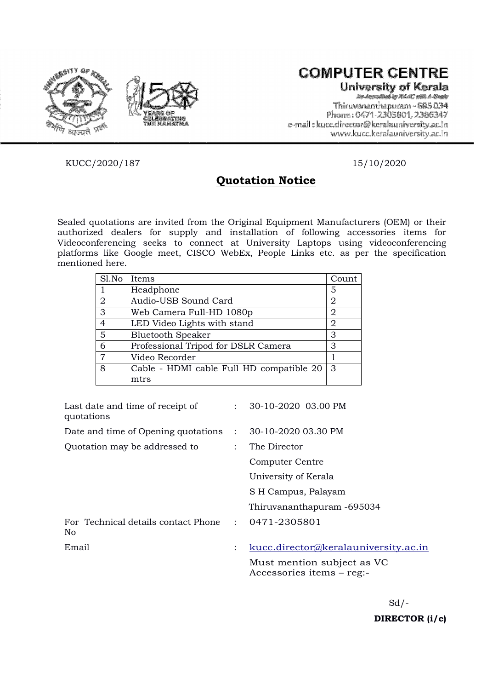

# **COMPUTER CENTRE**

University of Kerala

Thiruvananthanuram ~ 685 034 Phone: 0471-2305801.2386347 e-mail: kurc.director@keralauniversity.ac.in www.kucc.keralauniversity.ac.in

KUCC/2020/187 15/10/2020

# Quotation Notice

Sealed quotations are invited from the Original Equipment Manufacturers (OEM) or their authorized dealers for supply and installation of following accessories items for Videoconferencing seeks to connect at University Laptops using videoconferencing platforms like Google meet, CISCO WebEx, People Links etc. as per the specification mentioned here.

| Sl.No          | Items                                    | Count |
|----------------|------------------------------------------|-------|
|                | Headphone                                | 5     |
| $\overline{2}$ | Audio-USB Sound Card                     | 2     |
| 3              | Web Camera Full-HD 1080p                 | 2     |
| 4              | LED Video Lights with stand              | 2     |
| 5              | <b>Bluetooth Speaker</b>                 | 3     |
| 6              | Professional Tripod for DSLR Camera      | 3     |
| 7              | Video Recorder                           |       |
| 8              | Cable - HDMI cable Full HD compatible 20 | 3     |
|                | mtrs                                     |       |

| Last date and time of receipt of<br>quotations |                | 30-10-2020 03.00 PM                                     |
|------------------------------------------------|----------------|---------------------------------------------------------|
| Date and time of Opening quotations            | $\mathcal{L}$  | 30-10-2020 03.30 PM                                     |
| Quotation may be addressed to                  |                | The Director                                            |
|                                                |                | Computer Centre                                         |
|                                                |                | University of Kerala                                    |
|                                                |                | S H Campus, Palayam                                     |
|                                                |                | Thiruvananthapuram -695034                              |
| For Technical details contact Phone<br>No      | $\mathcal{L}$  | 0471-2305801                                            |
| Email                                          | $\ddot{\cdot}$ | kucc.director@keralauniversity.ac.in                    |
|                                                |                | Must mention subject as VC<br>Accessories items – reg:- |

 $Sd$  /-DIRECTOR (i/c)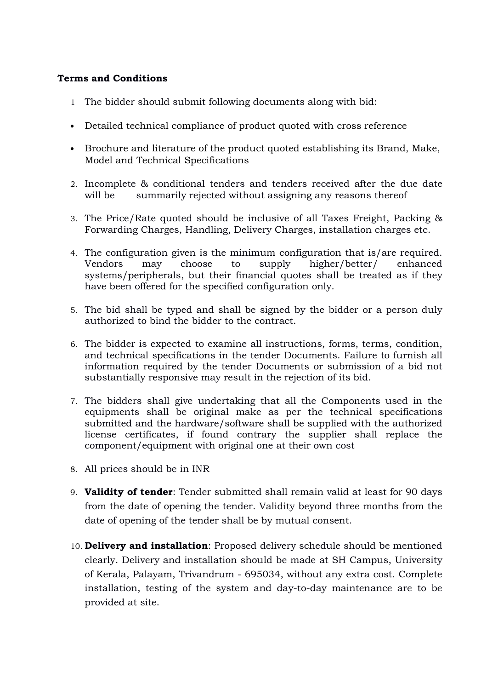#### Terms and Conditions

- 1 The bidder should submit following documents along with bid:
- Detailed technical compliance of product quoted with cross reference
- Brochure and literature of the product quoted establishing its Brand, Make, Model and Technical Specifications
- 2. Incomplete & conditional tenders and tenders received after the due date will be summarily rejected without assigning any reasons thereof
- 3. The Price/Rate quoted should be inclusive of all Taxes Freight, Packing & Forwarding Charges, Handling, Delivery Charges, installation charges etc.
- 4. The configuration given is the minimum configuration that is/are required. Vendors may choose to supply higher/better/ enhanced systems/peripherals, but their financial quotes shall be treated as if they have been offered for the specified configuration only.
- 5. The bid shall be typed and shall be signed by the bidder or a person duly authorized to bind the bidder to the contract.
- 6. The bidder is expected to examine all instructions, forms, terms, condition, and technical specifications in the tender Documents. Failure to furnish all information required by the tender Documents or submission of a bid not substantially responsive may result in the rejection of its bid.
- 7. The bidders shall give undertaking that all the Components used in the equipments shall be original make as per the technical specifications submitted and the hardware/software shall be supplied with the authorized license certificates, if found contrary the supplier shall replace the component/equipment with original one at their own cost
- 8. All prices should be in INR
- 9. Validity of tender: Tender submitted shall remain valid at least for 90 days from the date of opening the tender. Validity beyond three months from the date of opening of the tender shall be by mutual consent.
- 10. Delivery and installation: Proposed delivery schedule should be mentioned clearly. Delivery and installation should be made at SH Campus, University of Kerala, Palayam, Trivandrum - 695034, without any extra cost. Complete installation, testing of the system and day-to-day maintenance are to be provided at site.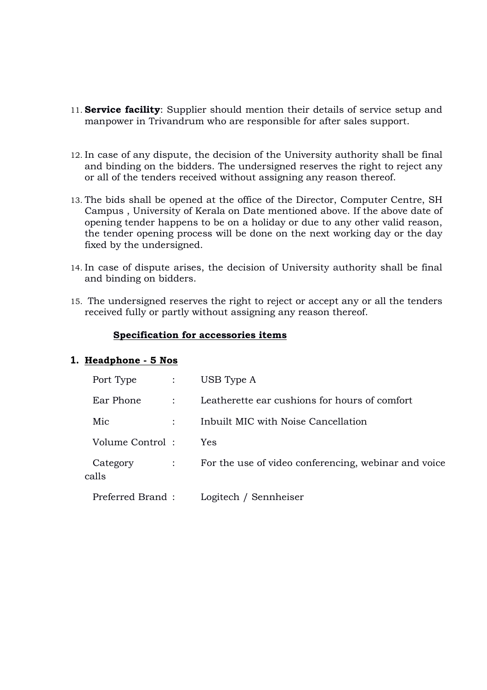- 11. **Service facility**: Supplier should mention their details of service setup and manpower in Trivandrum who are responsible for after sales support.
- 12. In case of any dispute, the decision of the University authority shall be final and binding on the bidders. The undersigned reserves the right to reject any or all of the tenders received without assigning any reason thereof.
- 13. The bids shall be opened at the office of the Director, Computer Centre, SH Campus , University of Kerala on Date mentioned above. If the above date of opening tender happens to be on a holiday or due to any other valid reason, the tender opening process will be done on the next working day or the day fixed by the undersigned.
- 14. In case of dispute arises, the decision of University authority shall be final and binding on bidders.
- 15. The undersigned reserves the right to reject or accept any or all the tenders received fully or partly without assigning any reason thereof.

#### Specification for accessories items

#### 1. Headphone - 5 Nos

| Port Type         |   | USB Type A                                           |
|-------------------|---|------------------------------------------------------|
| Ear Phone         | ÷ | Leatherette ear cushions for hours of comfort        |
| Mic               |   | Inbuilt MIC with Noise Cancellation                  |
| Volume Control:   |   | <b>Yes</b>                                           |
| Category<br>calls |   | For the use of video conferencing, webinar and voice |
| Preferred Brand:  |   | Logitech / Sennheiser                                |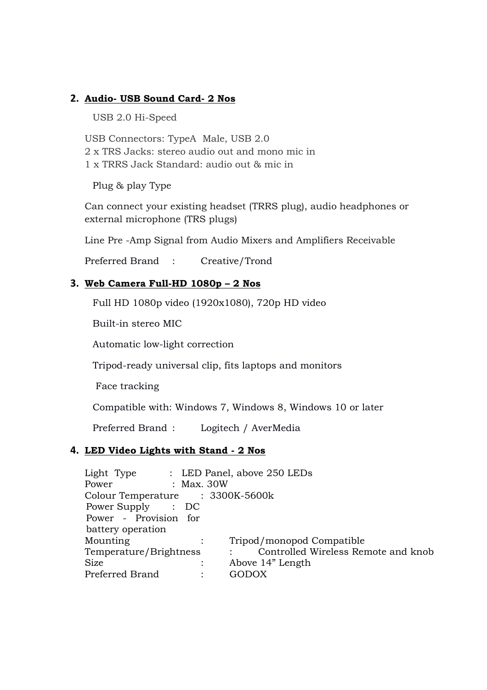## 2. Audio- USB Sound Card- 2 Nos

USB 2.0 Hi-Speed

USB Connectors: TypeA Male, USB 2.0 2 x TRS Jacks: stereo audio out and mono mic in 1 x TRRS Jack Standard: audio out & mic in

Plug & play Type

Can connect your existing headset (TRRS plug), audio headphones or external microphone (TRS plugs)

Line Pre -Amp Signal from Audio Mixers and Amplifiers Receivable

Preferred Brand : Creative/Trond

#### 3. Web Camera Full-HD 1080p – 2 Nos

Full HD 1080p video (1920x1080), 720p HD video

Built-in stereo MIC

Automatic low-light correction

Tripod-ready universal clip, fits laptops and monitors

Face tracking

Compatible with: Windows 7, Windows 8, Windows 10 or later

Preferred Brand : Logitech / AverMedia

#### 4. LED Video Lights with Stand - 2 Nos

| Light Type : LED Panel, above 250 LEDs |                                     |
|----------------------------------------|-------------------------------------|
| : Max. 30W<br>Power                    |                                     |
| Colour Temperature : 3300K-5600k       |                                     |
| Power Supply : DC                      |                                     |
| Power - Provision for                  |                                     |
| battery operation                      |                                     |
| Mounting                               | Tripod/monopod Compatible           |
| Temperature/Brightness                 | Controlled Wireless Remote and knob |
| Size                                   | Above 14" Length                    |
| Preferred Brand                        | GODOX                               |
|                                        |                                     |